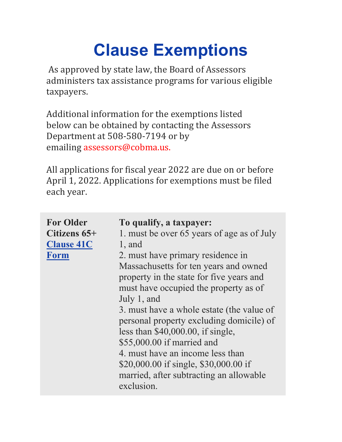## **Clause Exemptions**

 As approved by state law, the Board of Assessors administers tax assistance programs for various eligible taxpayers.

Additional information for the exemptions listed below can be obtained by contacting the Assessors Department at 508-580-7194 or by emailing assessors@cobma.us.

All applications for fiscal year 2022 are due on or before April 1, 2022. Applications for exemptions must be filed each year.

| <b>For Older</b><br>Citizens 65+<br><b>Clause 41C</b><br><b>Form</b> | To qualify, a taxpayer:<br>1. must be over 65 years of age as of July<br>$1$ , and<br>2. must have primary residence in<br>Massachusetts for ten years and owned<br>property in the state for five years and<br>must have occupied the property as of<br>July 1, and<br>3. must have a whole estate (the value of<br>personal property excluding domicile) of<br>less than $$40,000.00$ , if single,<br>\$55,000.00 if married and<br>4. must have an income less than<br>\$20,000.00 if single, \$30,000.00 if |
|----------------------------------------------------------------------|-----------------------------------------------------------------------------------------------------------------------------------------------------------------------------------------------------------------------------------------------------------------------------------------------------------------------------------------------------------------------------------------------------------------------------------------------------------------------------------------------------------------|
|                                                                      | married, after subtracting an allowable<br>exclusion.                                                                                                                                                                                                                                                                                                                                                                                                                                                           |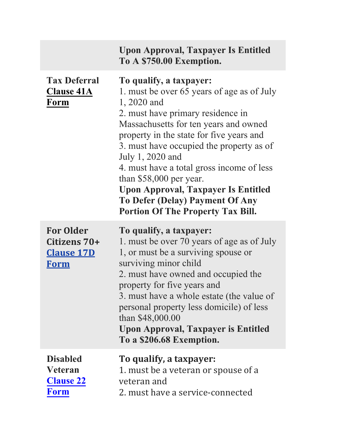|                                                                      | <b>Upon Approval, Taxpayer Is Entitled</b><br>To A \$750.00 Exemption.                                                                                                                                                                                                                                                                                                                                                                                                                      |
|----------------------------------------------------------------------|---------------------------------------------------------------------------------------------------------------------------------------------------------------------------------------------------------------------------------------------------------------------------------------------------------------------------------------------------------------------------------------------------------------------------------------------------------------------------------------------|
| <b>Tax Deferral</b><br><b>Clause 41A</b><br>Form                     | To qualify, a taxpayer:<br>1. must be over 65 years of age as of July<br>1, 2020 and<br>2. must have primary residence in<br>Massachusetts for ten years and owned<br>property in the state for five years and<br>3. must have occupied the property as of<br>July 1, 2020 and<br>4. must have a total gross income of less<br>than $$58,000$ per year.<br><b>Upon Approval, Taxpayer Is Entitled</b><br><b>To Defer (Delay) Payment Of Any</b><br><b>Portion Of The Property Tax Bill.</b> |
| <b>For Older</b><br>Citizens 70+<br><b>Clause 17D</b><br><b>Form</b> | To qualify, a taxpayer:<br>1. must be over 70 years of age as of July<br>1, or must be a surviving spouse or<br>surviving minor child<br>2. must have owned and occupied the<br>property for five years and<br>3. must have a whole estate (the value of<br>personal property less domicile) of less<br>than \$48,000.00<br><b>Upon Approval, Taxpayer is Entitled</b><br>To a \$206.68 Exemption.                                                                                          |
| <b>Disabled</b><br><b>Veteran</b><br><b>Clause 22</b><br><b>Form</b> | To qualify, a taxpayer:<br>1. must be a veteran or spouse of a<br>veteran and<br>2. must have a service-connected                                                                                                                                                                                                                                                                                                                                                                           |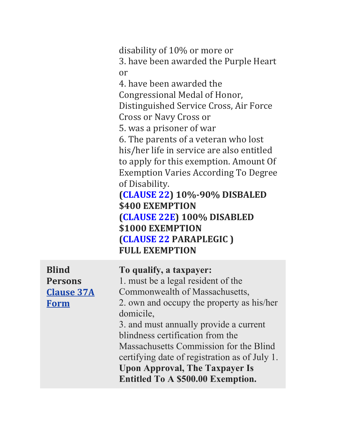<span id="page-2-0"></span>disability of 10% or more or 3. have been awarded the Purple Heart or

4. have been awarded the Congressional Medal of Honor, Distinguished Service Cross, Air Force Cross or Navy Cross or

5. was a prisoner of war

6. The parents of a veteran who lost his/her life in service are also entitled to apply for this exemption. Amount Of Exemption Varies According To Degree of Disability.

**([CLAUSE](https://brockton.ma.us/city-departments/assessors/clause-22-exemption-form/) 22) 10%‐90% DISBALED \$400 EXEMPTION ([CLAUSE](https://brockton.ma.us/city-departments/assessors/clause-22e-exemption-form/) 22E) 100% DISABLED \$1000 EXEMPTION ([CLAUSE](https://brockton.ma.us/city-departments/assessors/clause-22-abcdp-exemption-form/) 22 PARAPLEGIC ) FULL EXEMPTION**

| <b>Blind</b>      | To qualify, a taxpayer:                       |
|-------------------|-----------------------------------------------|
| <b>Persons</b>    | 1. must be a legal resident of the            |
| <b>Clause 37A</b> | Commonwealth of Massachusetts,                |
| <b>Form</b>       | 2. own and occupy the property as his/her     |
|                   | domicile,                                     |
|                   | 3. and must annually provide a current        |
|                   | blindness certification from the              |
|                   | Massachusetts Commission for the Blind        |
|                   | certifying date of registration as of July 1. |
|                   | <b>Upon Approval, The Taxpayer Is</b>         |
|                   | Entitled To A \$500.00 Exemption.             |